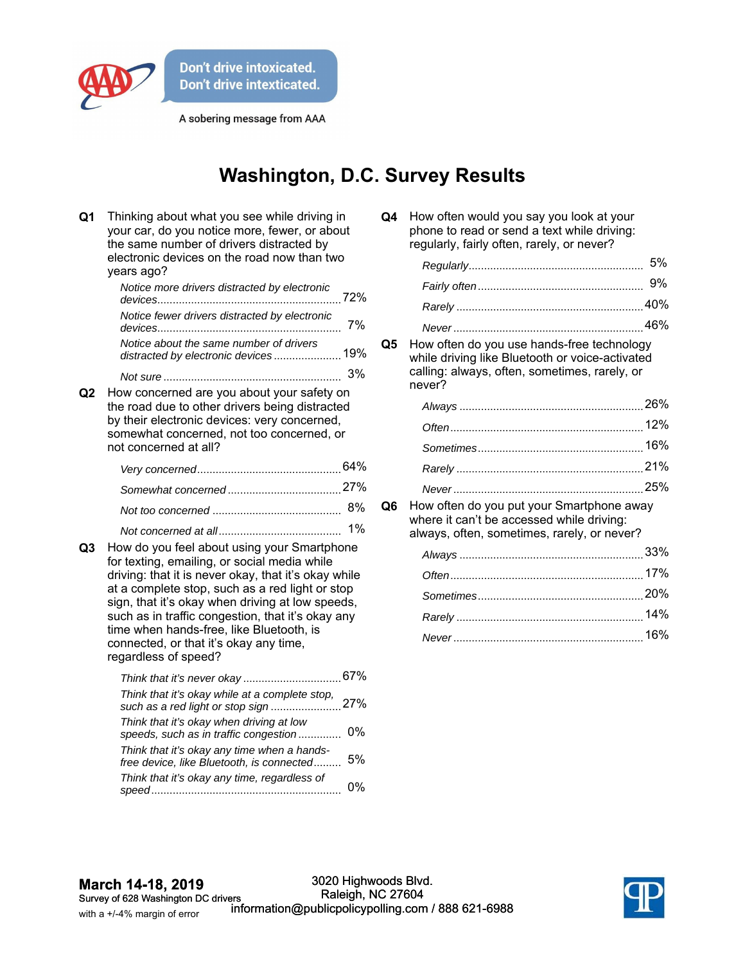

A sobering message from AAA

## **Washington, D.C. Survey Results**

| Q <sub>1</sub> | Thinking about what you see while driving in<br>your car, do you notice more, fewer, or about<br>the same number of drivers distracted by<br>electronic devices on the road now than two<br>years ago?                                                                                                                                                                                                                        |    |  |
|----------------|-------------------------------------------------------------------------------------------------------------------------------------------------------------------------------------------------------------------------------------------------------------------------------------------------------------------------------------------------------------------------------------------------------------------------------|----|--|
|                | Notice more drivers distracted by electronic                                                                                                                                                                                                                                                                                                                                                                                  |    |  |
|                | Notice fewer drivers distracted by electronic                                                                                                                                                                                                                                                                                                                                                                                 | 7% |  |
|                | Notice about the same number of drivers<br>distracted by electronic devices 19%                                                                                                                                                                                                                                                                                                                                               |    |  |
|                |                                                                                                                                                                                                                                                                                                                                                                                                                               | 3% |  |
| Q2             | How concerned are you about your safety on<br>the road due to other drivers being distracted<br>by their electronic devices: very concerned,<br>somewhat concerned, not too concerned, or<br>not concerned at all?                                                                                                                                                                                                            |    |  |
|                |                                                                                                                                                                                                                                                                                                                                                                                                                               |    |  |
|                |                                                                                                                                                                                                                                                                                                                                                                                                                               |    |  |
|                |                                                                                                                                                                                                                                                                                                                                                                                                                               | 8% |  |
| Q3             | How do you feel about using your Smartphone<br>for texting, emailing, or social media while<br>driving: that it is never okay, that it's okay while<br>at a complete stop, such as a red light or stop<br>sign, that it's okay when driving at low speeds,<br>such as in traffic congestion, that it's okay any<br>time when hands-free, like Bluetooth, is<br>connected, or that it's okay any time,<br>regardless of speed? | 1% |  |
|                | Think that it's okay while at a complete stop,                                                                                                                                                                                                                                                                                                                                                                                |    |  |
|                | Think that it's okay when driving at low<br>speeds, such as in traffic congestion                                                                                                                                                                                                                                                                                                                                             | 0% |  |
|                | Think that it's okay any time when a hands-<br>free device, like Bluetooth, is connected                                                                                                                                                                                                                                                                                                                                      | 5% |  |
|                | Think that it's okay any time, regardless of                                                                                                                                                                                                                                                                                                                                                                                  | 0% |  |

| Q4 | How often would you say you look at your    |
|----|---------------------------------------------|
|    | phone to read or send a text while driving: |
|    | regularly, fairly often, rarely, or never?  |
|    |                                             |

**Q5** How often do you use hands-free technology while driving like Bluetooth or voice-activated calling: always, often, sometimes, rarely, or never?

**Q6** How often do you put your Smartphone away where it can't be accessed while driving: always, often, sometimes, rarely, or never?